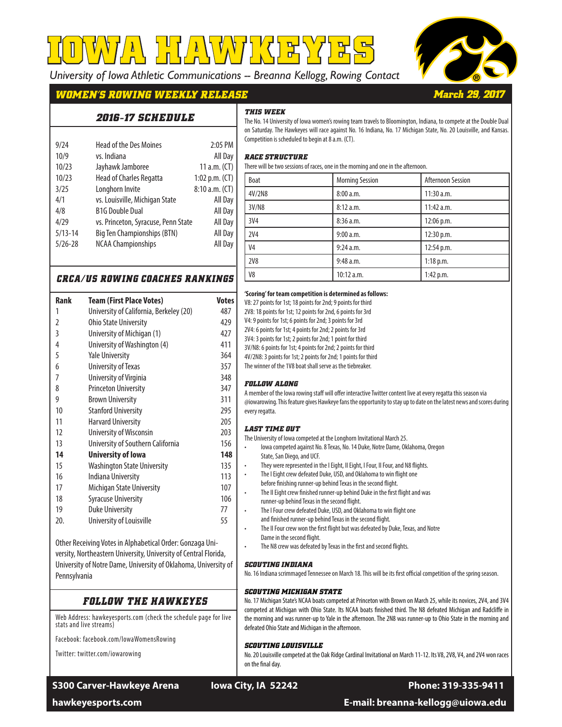*University of Iowa Athletic Communications -- Breanna Kellogg, Rowing Contact* **IOWA HAWKEYES**



*March 29, 2017*

# *WOMEN'S ROWING WEEKLY RELEASE*

# *THIS WEEK*

| <i>2016-17 SCHEDULE</i> |  |
|-------------------------|--|
|-------------------------|--|

| 9/24        | <b>Head of the Des Moines</b>       | 2:05 PM          |
|-------------|-------------------------------------|------------------|
| 10/9        | vs. Indiana                         | All Day          |
| 10/23       | Jayhawk Jamboree                    | 11 $a.m.$ (CT)   |
| 10/23       | <b>Head of Charles Regatta</b>      | 1:02 p.m. $(CT)$ |
| 3/25        | Longhorn Invite                     | 8:10 a.m. (CT)   |
| 4/1         | vs. Louisville, Michigan State      | All Day          |
| 4/8         | <b>B1G Double Dual</b>              | All Day          |
| 4/29        | vs. Princeton, Syracuse, Penn State | All Day          |
| $5/13 - 14$ | <b>Big Ten Championships (BTN)</b>  | All Day          |
| $5/26 - 28$ | <b>NCAA Championships</b>           | All Day          |
|             |                                     |                  |

| The No. 14 University of Iowa women's rowing team travels to Bloomington, Indiana, to compete at the Double Dual  |
|-------------------------------------------------------------------------------------------------------------------|
| on Saturday. The Hawkeyes will race against No. 16 Indiana, No. 17 Michigan State, No. 20 Louisville, and Kansas. |
| Competition is scheduled to begin at 8 a.m. (CT).                                                                 |

### *RACE STRUCTURE*

*FOLLOW ALONG* 

*LAST TIME OUT*

State, San Diego, and UCF.

Dame in the second flight.

*SCOUTING MICHIGAN STATE*

*SCOUTING LOUISVILLE*

defeated Ohio State and Michigan in the afternoon.

*SCOUTING INDIANA*

every regatta.

There will be two sessions of races, one in the morning and one in the afternoon.

**'Scoring' for team competition is determined as follows:** V8: 27 points for 1st; 18 points for 2nd; 9 points for third 2V8: 18 points for 1st; 12 points for 2nd, 6 points for 3rd V4: 9 points for 1st; 6 points for 2nd; 3 points for 3rd 2V4: 6 points for 1st; 4 points for 2nd; 2 points for 3rd 3V4: 3 points for 1st; 2 points for 2nd; 1 point for third 3V/N8: 6 points for 1st; 4 points for 2nd; 2 points for third 4V/2N8: 3 points for 1st; 2 points for 2nd; 1 points for third The winner of the 1V8 boat shall serve as the tiebreaker.

The University of Iowa competed at the Longhorn Invitational March 25.

runner-up behind Texas in the second flight.

| Boat            | <b>Morning Session</b> | <b>Afternoon Session</b> |  |
|-----------------|------------------------|--------------------------|--|
| 4V/2N8          | 8:00 a.m.              | 11:30 a.m.               |  |
| 3V/N8           | 8:12 a.m.              | $11:42$ a.m.             |  |
| 3V <sub>4</sub> | 8:36 a.m.              | 12:06 p.m.               |  |
| <b>2V4</b>      | 9:00 a.m.              | 12:30 p.m.               |  |
| V <sub>4</sub>  | 9:24 a.m.              | 12:54 p.m.               |  |
| <b>2V8</b>      | 9:48 a.m.              | $1:18$ p.m.              |  |
| V <sub>8</sub>  | 10:12 a.m.             | 1:42 p.m.                |  |

A member of the Iowa rowing staff will offer interactive Twitter content live at every regatta this season via @iowarowing. This feature gives Hawkeye fans the opportunity to stay up to date on the latest news and scores during

• Iowa competed against No. 8 Texas, No. 14 Duke, Notre Dame, Oklahoma, Oregon

They were represented in the I Eight, II Eight, I Four, II Four, and N8 flights. The I Eight crew defeated Duke, USD, and Oklahoma to win flight one before finishing runner-up behind Texas in the second flight.

The II Eight crew finished runner-up behind Duke in the first flight and was

The II Four crew won the first flight but was defeated by Duke, Texas, and Notre

No. 16 Indiana scrimmaged Tennessee on March 18. This will be its first official competition of the spring season.

No. 17 Michigan State's NCAA boats competed at Princeton with Brown on March 25, while its novices, 2V4, and 3V4 competed at Michigan with Ohio State. Its NCAA boats finished third. The N8 defeated Michigan and Radcliffe in the morning and was runner-up to Yale in the afternoon. The 2N8 was runner-up to Ohio State in the morning and

No. 20 Louisville competed at the Oak Ridge Cardinal Invitational on March 11-12. Its V8, 2V8, V4, and 2V4 won races

The I Four crew defeated Duke, USD, and Oklahoma to win flight one and finished runner-up behind Texas in the second flight.

The N8 crew was defeated by Texas in the first and second flights.

# *CRCA/US ROWING COACHES RANKINGS*

| Rank | Team (First Place Votes)                | <b>Votes</b> |
|------|-----------------------------------------|--------------|
| 1    | University of California, Berkeley (20) | 487          |
| 2    | <b>Ohio State University</b>            | 429          |
| 3    | University of Michigan (1)              | 427          |
| 4    | University of Washington (4)            | 411          |
| 5    | <b>Yale University</b>                  | 364          |
| 6    | University of Texas                     | 357          |
| 7    | University of Virginia                  | 348          |
| 8    | <b>Princeton University</b>             | 347          |
| 9    | <b>Brown University</b>                 | 311          |
| 10   | <b>Stanford University</b>              | 295          |
| 11   | <b>Harvard University</b>               | 205          |
| 12   | <b>University of Wisconsin</b>          | 203          |
| 13   | University of Southern California       | 156          |
| 14   | University of Iowa                      | 148          |
| 15   | <b>Washington State University</b>      | 135          |
| 16   | Indiana University                      | 113          |
| 17   | Michigan State University               | 107          |
| 18   | <b>Syracuse University</b>              | 106          |
| 19   | <b>Duke University</b>                  | 77           |
| 20.  | University of Louisville                | 55           |

Other Receiving Votes in Alphabetical Order: Gonzaga University, Northeastern University, University of Central Florida, University of Notre Dame, University of Oklahoma, University of Pennsylvania

# *FOLLOW THE HAWKEYES*

Web Address: hawkeyesports.com (check the schedule page for live stats and live streams)

Facebook: facebook.com/IowaWomensRowing

Twitter: twitter.com/iowarowing

# S300 Carver-Hawkeye Arena **Iowa City, IA 52242** Phone: 319-335-9411

on the final day.

**hawkeyesports.com E-mail: breanna-kellogg@uiowa.edu**